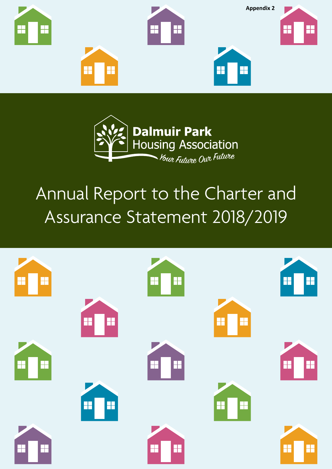



# Annual Report to the Charter and Assurance Statement 2018/2019

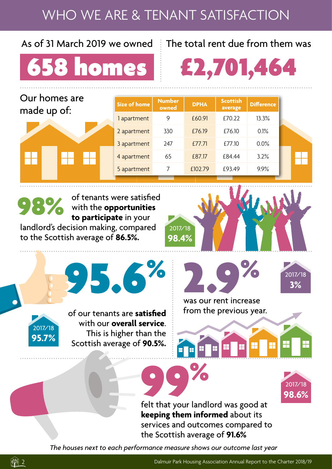# WHO WE ARE & TENANT SATISFACTION

As of 31 March 2019 we owned

## The total rent due from them was

658 homes

£2,701,464

| Our homes are | Size of home | <b>Number</b><br>owned | <b>DPHA</b> | <b>Scottish</b><br>average | <b>Difference</b> |
|---------------|--------------|------------------------|-------------|----------------------------|-------------------|
| made up of:   | apartment    | 9                      | £60.91      | £70.22                     | 13.3%             |
|               | 2 apartment  | 330                    | £76.19      | £76.10                     | 0.1%              |
|               | 3 apartment  | 247                    | £77.71      | £77.10                     | 0.0%              |
|               | 4 apartment  | 65                     | £87.17      | £84.44                     | 3.2%              |
|               | 5 apartment  |                        | £102.79     | £93.49                     | 9.9%              |
|               |              |                        |             |                            |                   |

2017/18 **98.4%**

**98%** of tenants were satisfied<br>to participate in your with the **opportunities to participate** in your

landlord's decision making, compared to the Scottish average of **86.5%.**

2.9% 95.6%



with our **overall service**. This is higher than the Scottish average of **90.5%.**

was our rent increase of our tenants are **satisfied from** the previous year.





2017/18 **3%**

99% felt that your landlord was good at **keeping them informed** about its services and outcomes compared to the Scottish average of **91.6%**

*The houses next to each performance measure shows our outcome last year*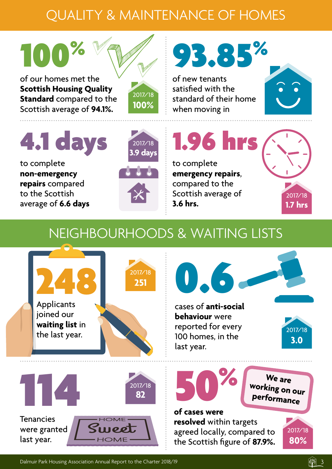# QUALITY & MAINTENANCE OF HOMES





2017/18

# 100% 93.85%

of new tenants satisfied with the standard of their home when moving in



4.1 days 2017/18 1.96 hrs

to complete **non-emergency repairs** compared to the Scottish average of **6.6 days**



to complete **emergency repairs**, compared to the Scottish average of **3.6 hrs.**



# NEIGHBOURHOODS & WAITING LISTS

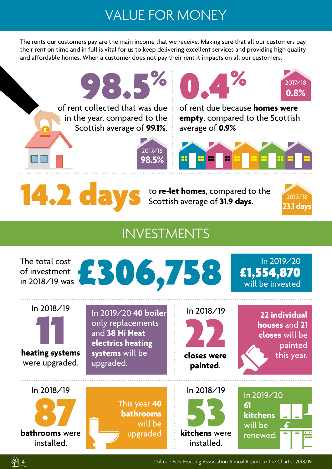# VALUE FOR MONEY

The rents our customers pay are the main income that we receive. Making sure that all our customers pay their rent on time and in full is vital for us to keep delivering excellent services and providing high quality and affordable homes. When a customer does not pay their rent it impacts on all our customers.

> 98.5% of rent collected that was due in the year, compared to the Scottish average of **99.1%**.



**empty**, compared to the Scottish average of **0.9%**



to **re-let homes**, compared to the Scottish average of **31.9 days**.



## INVESTMENTS

2017/18 **98.5%**



£

In 2018/19



In 2018/19

**bathrooms** were

installed.

In 2019/20 **40 boiler** only replacements and **38 Hi Heat electrics heating systems** will be upgraded.

## In 2018/19

**2306,758 £1,554,870** 



**22 individual houses** and **21 closes** will be painted this year.

In 2019/20



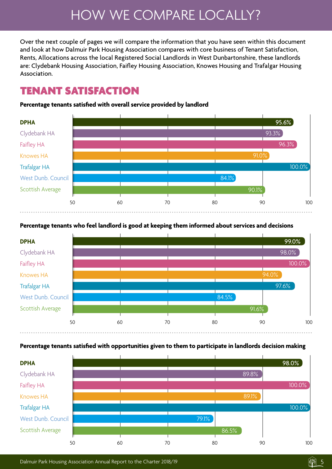# HOW WE COMPARE LOCALLY?

Over the next couple of pages we will compare the information that you have seen within this document and look at how Dalmuir Park Housing Association compares with core business of Tenant Satisfaction, Rents, Allocations across the local Registered Social Landlords in West Dunbartonshire, these landlords are: Clydebank Housing Association, Faifley Housing Association, Knowes Housing and Trafalgar Housing Association.

## TENANT SATISFACTION

## **Percentage tenants satisfied with overall service provided by landlord**



#### **Percentage tenants who feel landlord is good at keeping them informed about services and decisions**



## **Percentage tenants satisfied with opportunities given to them to participate in landlords decision making**

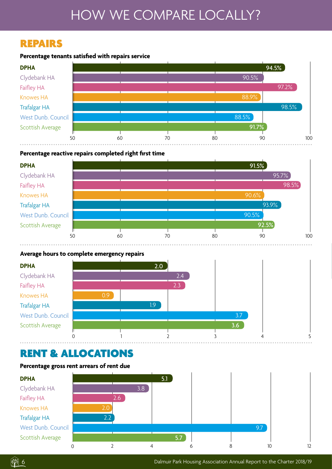# HOW WE COMPARE LOCALLY?

## REPAIRS

### **Percentage tenants satisfied with repairs service**



### **Percentage reactive repairs completed right first time**



#### **Average hours to complete emergency repairs**



## RENT & ALLOCATIONS

#### **Percentage gross rent arrears of rent due**

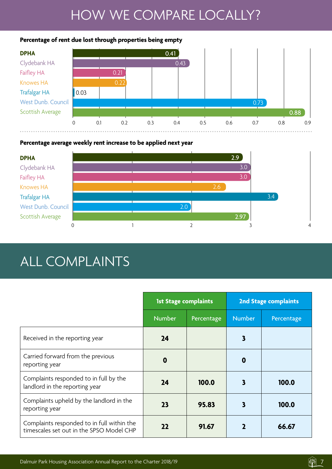# HOW WE COMPARE LOCALLY?

## **Percentage of rent due lost through properties being empty**



## **Percentage average weekly rent increase to be applied next year**



## ALL COMPLAINTS

|                                                                                        | <b>1st Stage complaints</b> |            |               | <b>2nd Stage complaints</b> |
|----------------------------------------------------------------------------------------|-----------------------------|------------|---------------|-----------------------------|
|                                                                                        | <b>Number</b>               | Percentage | <b>Number</b> | Percentage                  |
| Received in the reporting year                                                         | 24                          |            |               |                             |
| Carried forward from the previous<br>reporting year                                    | $\mathbf 0$                 |            | 0             |                             |
| Complaints responded to in full by the<br>landlord in the reporting year               | 24                          | 100.0      |               | 100.0                       |
| Complaints upheld by the landlord in the<br>reporting year                             | 23                          | 95.83      | 3             | 100.0                       |
| Complaints responded to in full within the<br>timescales set out in the SPSO Model CHP | 22                          | 91.67      |               | 66.67                       |